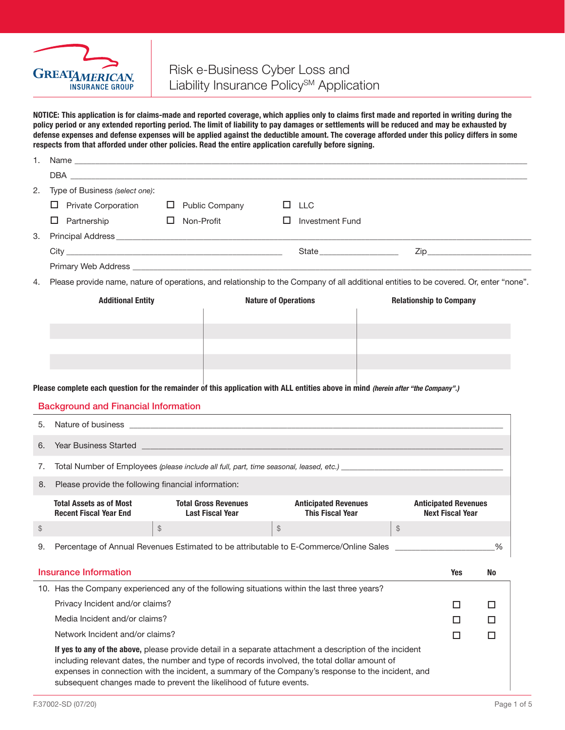

# Risk e-Business Cyber Loss and Liability Insurance Policy<sup>SM</sup> Application

NOTICE: This application is for claims-made and reported coverage, which applies only to claims first made and reported in writing during the policy period or any extended reporting period. The limit of liability to pay damages or settlements will be reduced and may be exhausted by defense expenses and defense expenses will be applied against the deductible amount. The coverage afforded under this policy differs in some respects from that afforded under other policies. Read the entire application carefully before signing.

| 1.                                                                                                       |                                                                                                                                                                                                                                                                            |                                                                                                                                        |                             |                             |                                |    |  |  |  |
|----------------------------------------------------------------------------------------------------------|----------------------------------------------------------------------------------------------------------------------------------------------------------------------------------------------------------------------------------------------------------------------------|----------------------------------------------------------------------------------------------------------------------------------------|-----------------------------|-----------------------------|--------------------------------|----|--|--|--|
|                                                                                                          |                                                                                                                                                                                                                                                                            |                                                                                                                                        |                             |                             |                                |    |  |  |  |
| 2.                                                                                                       | Type of Business (select one):                                                                                                                                                                                                                                             |                                                                                                                                        |                             |                             |                                |    |  |  |  |
|                                                                                                          | $\Box$ Private Corporation                                                                                                                                                                                                                                                 | $\Box$ Public Company                                                                                                                  |                             | $\Box$ LLC                  |                                |    |  |  |  |
|                                                                                                          | $\Box$ Partnership                                                                                                                                                                                                                                                         | Non-Profit<br>ш.                                                                                                                       | □                           | <b>Investment Fund</b>      |                                |    |  |  |  |
| З.                                                                                                       |                                                                                                                                                                                                                                                                            |                                                                                                                                        |                             |                             |                                |    |  |  |  |
|                                                                                                          |                                                                                                                                                                                                                                                                            |                                                                                                                                        |                             | State <b>State</b>          |                                |    |  |  |  |
|                                                                                                          | Primary Web Address <b>Executive Contract Contract Contract Contract Contract Contract Contract Contract Contract Contract Contract Contract Contract Contract Contract Contract Contract Contract Contract Contract Contract Co</b>                                       |                                                                                                                                        |                             |                             |                                |    |  |  |  |
| 4.                                                                                                       |                                                                                                                                                                                                                                                                            | Please provide name, nature of operations, and relationship to the Company of all additional entities to be covered. Or, enter "none". |                             |                             |                                |    |  |  |  |
|                                                                                                          | <b>Additional Entity</b>                                                                                                                                                                                                                                                   |                                                                                                                                        | <b>Nature of Operations</b> |                             | <b>Relationship to Company</b> |    |  |  |  |
|                                                                                                          |                                                                                                                                                                                                                                                                            |                                                                                                                                        |                             |                             |                                |    |  |  |  |
|                                                                                                          | Please complete each question for the remainder of this application with ALL entities above in mind (herein after "the Company".)                                                                                                                                          |                                                                                                                                        |                             |                             |                                |    |  |  |  |
|                                                                                                          | <b>Background and Financial Information</b>                                                                                                                                                                                                                                |                                                                                                                                        |                             |                             |                                |    |  |  |  |
| 5.                                                                                                       | Nature of business <b>with the control of the control of the control of the control of the control of the control of the control of the control of the control of the control of the control of the control of the control of th</b>                                       |                                                                                                                                        |                             |                             |                                |    |  |  |  |
| 6.                                                                                                       | Year Business Started ____________                                                                                                                                                                                                                                         |                                                                                                                                        |                             |                             |                                |    |  |  |  |
| 7.                                                                                                       |                                                                                                                                                                                                                                                                            |                                                                                                                                        |                             |                             |                                |    |  |  |  |
| 8.                                                                                                       | Please provide the following financial information:                                                                                                                                                                                                                        |                                                                                                                                        |                             |                             |                                |    |  |  |  |
|                                                                                                          | <b>Total Assets as of Most</b>                                                                                                                                                                                                                                             | <b>Total Gross Revenues</b>                                                                                                            |                             | <b>Anticipated Revenues</b> | <b>Anticipated Revenues</b>    |    |  |  |  |
|                                                                                                          | <b>Recent Fiscal Year End</b>                                                                                                                                                                                                                                              | <b>Last Fiscal Year</b>                                                                                                                |                             | <b>This Fiscal Year</b>     | <b>Next Fiscal Year</b>        |    |  |  |  |
| \$                                                                                                       | $\, \, \raisebox{12pt}{$\scriptstyle \circ$}$                                                                                                                                                                                                                              |                                                                                                                                        | $\updownarrow$              |                             | $\$\$                          |    |  |  |  |
| 9.                                                                                                       | Percentage of Annual Revenues Estimated to be attributable to E-Commerce/Online Sales                                                                                                                                                                                      |                                                                                                                                        |                             |                             |                                | %  |  |  |  |
|                                                                                                          | <b>Insurance Information</b>                                                                                                                                                                                                                                               |                                                                                                                                        |                             |                             | <b>Yes</b>                     | No |  |  |  |
|                                                                                                          | 10. Has the Company experienced any of the following situations within the last three years?                                                                                                                                                                               |                                                                                                                                        |                             |                             |                                |    |  |  |  |
|                                                                                                          | Privacy Incident and/or claims?                                                                                                                                                                                                                                            |                                                                                                                                        |                             |                             | □                              | □  |  |  |  |
|                                                                                                          | Media Incident and/or claims?                                                                                                                                                                                                                                              |                                                                                                                                        |                             |                             | □                              | □  |  |  |  |
|                                                                                                          | Network Incident and/or claims?                                                                                                                                                                                                                                            |                                                                                                                                        |                             |                             | □                              | □  |  |  |  |
| If yes to any of the above, please provide detail in a separate attachment a description of the incident |                                                                                                                                                                                                                                                                            |                                                                                                                                        |                             |                             |                                |    |  |  |  |
|                                                                                                          | including relevant dates, the number and type of records involved, the total dollar amount of<br>expenses in connection with the incident, a summary of the Company's response to the incident, and<br>subsequent changes made to prevent the likelihood of future events. |                                                                                                                                        |                             |                             |                                |    |  |  |  |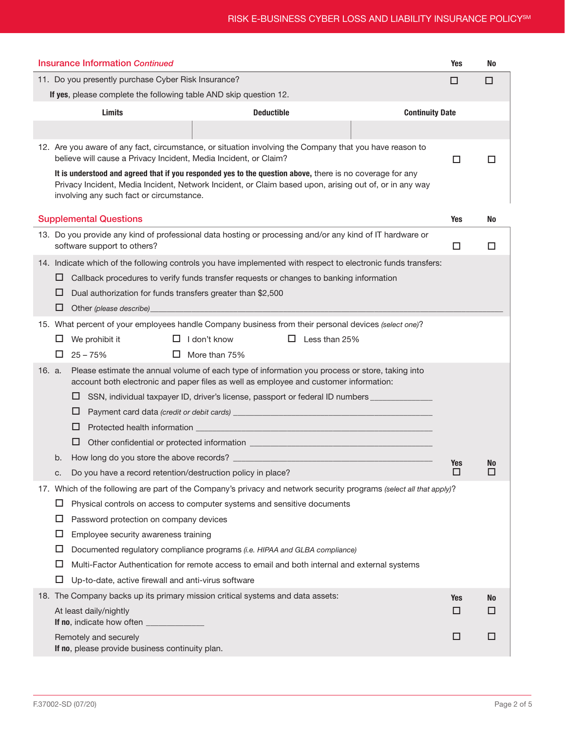| <b>Insurance Information Continued</b>                                                                                                                                                                                                                          | <b>Yes</b>             | No |  |  |  |  |
|-----------------------------------------------------------------------------------------------------------------------------------------------------------------------------------------------------------------------------------------------------------------|------------------------|----|--|--|--|--|
| 11. Do you presently purchase Cyber Risk Insurance?                                                                                                                                                                                                             | □                      | □  |  |  |  |  |
| If yes, please complete the following table AND skip question 12.                                                                                                                                                                                               |                        |    |  |  |  |  |
| <b>Limits</b><br><b>Deductible</b>                                                                                                                                                                                                                              | <b>Continuity Date</b> |    |  |  |  |  |
|                                                                                                                                                                                                                                                                 |                        |    |  |  |  |  |
| 12. Are you aware of any fact, circumstance, or situation involving the Company that you have reason to<br>believe will cause a Privacy Incident, Media Incident, or Claim?                                                                                     | □                      | П  |  |  |  |  |
| It is understood and agreed that if you responded yes to the question above, there is no coverage for any<br>Privacy Incident, Media Incident, Network Incident, or Claim based upon, arising out of, or in any way<br>involving any such fact or circumstance. |                        |    |  |  |  |  |
| <b>Supplemental Questions</b>                                                                                                                                                                                                                                   | Yes                    | No |  |  |  |  |
| 13. Do you provide any kind of professional data hosting or processing and/or any kind of IT hardware or<br>software support to others?                                                                                                                         | □                      | ΙI |  |  |  |  |
| 14. Indicate which of the following controls you have implemented with respect to electronic funds transfers:                                                                                                                                                   |                        |    |  |  |  |  |
| Callback procedures to verify funds transfer requests or changes to banking information<br>⊔                                                                                                                                                                    |                        |    |  |  |  |  |
| Dual authorization for funds transfers greater than \$2,500<br>⊔                                                                                                                                                                                                |                        |    |  |  |  |  |
| ⊔<br>Other (please describe)                                                                                                                                                                                                                                    |                        |    |  |  |  |  |
| 15. What percent of your employees handle Company business from their personal devices (select one)?                                                                                                                                                            |                        |    |  |  |  |  |
| We prohibit it<br>$\Box$ I don't know<br>$\Box$ Less than 25%<br>ப                                                                                                                                                                                              |                        |    |  |  |  |  |
| $25 - 75%$<br>More than 75%<br>□<br>ப                                                                                                                                                                                                                           |                        |    |  |  |  |  |
| Please estimate the annual volume of each type of information you process or store, taking into<br>16. a.<br>account both electronic and paper files as well as employee and customer information:                                                              |                        |    |  |  |  |  |
| ⊔<br>SSN, individual taxpayer ID, driver's license, passport or federal ID numbers _________                                                                                                                                                                    |                        |    |  |  |  |  |
| ⊔                                                                                                                                                                                                                                                               |                        |    |  |  |  |  |
| ⊔                                                                                                                                                                                                                                                               |                        |    |  |  |  |  |
| ⊔                                                                                                                                                                                                                                                               |                        |    |  |  |  |  |
| b.                                                                                                                                                                                                                                                              | Yes                    | No |  |  |  |  |
| Do you have a record retention/destruction policy in place?                                                                                                                                                                                                     |                        | ப  |  |  |  |  |
| 17. Which of the following are part of the Company's privacy and network security programs (select all that apply)?                                                                                                                                             |                        |    |  |  |  |  |
| Physical controls on access to computer systems and sensitive documents<br>ப<br>ப                                                                                                                                                                               |                        |    |  |  |  |  |
| Password protection on company devices<br>□<br>Employee security awareness training                                                                                                                                                                             |                        |    |  |  |  |  |
| ப<br>Documented regulatory compliance programs (i.e. HIPAA and GLBA compliance)                                                                                                                                                                                 |                        |    |  |  |  |  |
| □<br>Multi-Factor Authentication for remote access to email and both internal and external systems                                                                                                                                                              |                        |    |  |  |  |  |
| ப<br>Up-to-date, active firewall and anti-virus software                                                                                                                                                                                                        |                        |    |  |  |  |  |
| 18. The Company backs up its primary mission critical systems and data assets:                                                                                                                                                                                  | Yes                    | No |  |  |  |  |
| At least daily/nightly                                                                                                                                                                                                                                          | □                      | П  |  |  |  |  |
| If no, indicate how often _____________                                                                                                                                                                                                                         |                        |    |  |  |  |  |
| Remotely and securely<br>If no, please provide business continuity plan.                                                                                                                                                                                        | □                      | □  |  |  |  |  |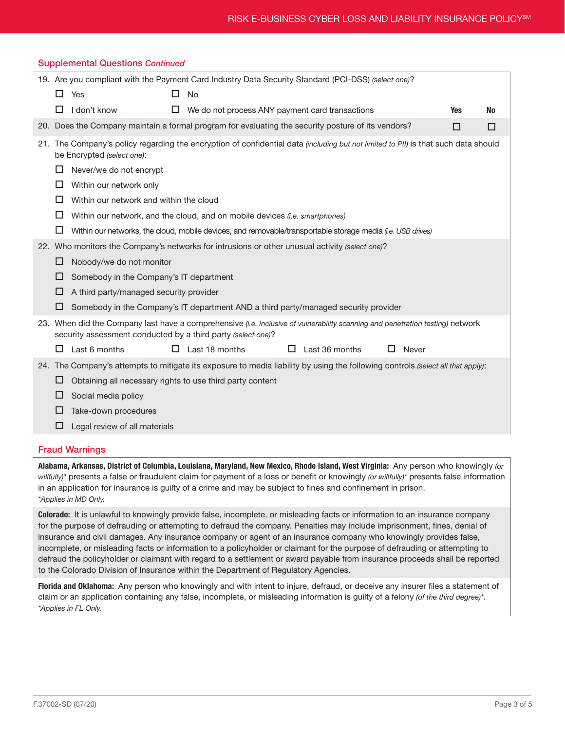| <b>Supplemental Questions Continued</b>                                                             |     |                                                                                                                                                                                               |  |                                                 |   |                |  |       |            |    |
|-----------------------------------------------------------------------------------------------------|-----|-----------------------------------------------------------------------------------------------------------------------------------------------------------------------------------------------|--|-------------------------------------------------|---|----------------|--|-------|------------|----|
| 19. Are you compliant with the Payment Card Industry Data Security Standard (PCI-DSS) (select one)? |     |                                                                                                                                                                                               |  |                                                 |   |                |  |       |            |    |
|                                                                                                     | 0   | Yes                                                                                                                                                                                           |  | <b>No</b>                                       |   |                |  |       |            |    |
|                                                                                                     | □   | I don't know                                                                                                                                                                                  |  | We do not process ANY payment card transactions |   |                |  |       | <b>Yes</b> | No |
|                                                                                                     |     | 20. Does the Company maintain a formal program for evaluating the security posture of its vendors?                                                                                            |  |                                                 |   |                |  |       | □          | □  |
|                                                                                                     |     | 21. The Company's policy regarding the encryption of confidential data (including but not limited to PII) is that such data should<br>be Encrypted (select one):                              |  |                                                 |   |                |  |       |            |    |
|                                                                                                     | ப   | Never/we do not encrypt                                                                                                                                                                       |  |                                                 |   |                |  |       |            |    |
|                                                                                                     | ப   | Within our network only                                                                                                                                                                       |  |                                                 |   |                |  |       |            |    |
|                                                                                                     | □   | Within our network and within the cloud                                                                                                                                                       |  |                                                 |   |                |  |       |            |    |
|                                                                                                     | ப   | Within our network, and the cloud, and on mobile devices <i>(i.e. smartphones)</i>                                                                                                            |  |                                                 |   |                |  |       |            |    |
|                                                                                                     | □   | Within our networks, the cloud, mobile devices, and removable/transportable storage media (i.e. USB drives)                                                                                   |  |                                                 |   |                |  |       |            |    |
|                                                                                                     |     | 22. Who monitors the Company's networks for intrusions or other unusual activity (select one)?                                                                                                |  |                                                 |   |                |  |       |            |    |
|                                                                                                     | □   | Nobody/we do not monitor                                                                                                                                                                      |  |                                                 |   |                |  |       |            |    |
|                                                                                                     | ப   | Somebody in the Company's IT department                                                                                                                                                       |  |                                                 |   |                |  |       |            |    |
|                                                                                                     | ப   | A third party/managed security provider                                                                                                                                                       |  |                                                 |   |                |  |       |            |    |
|                                                                                                     | ப   | Somebody in the Company's IT department AND a third party/managed security provider                                                                                                           |  |                                                 |   |                |  |       |            |    |
|                                                                                                     |     | 23. When did the Company last have a comprehensive (i.e. inclusive of vulnerability scanning and penetration testing) network<br>security assessment conducted by a third party (select one)? |  |                                                 |   |                |  |       |            |    |
|                                                                                                     | □   | Last 6 months                                                                                                                                                                                 |  | Last 18 months                                  | ப | Last 36 months |  | Never |            |    |
|                                                                                                     |     | 24. The Company's attempts to mitigate its exposure to media liability by using the following controls (select all that apply):                                                               |  |                                                 |   |                |  |       |            |    |
|                                                                                                     | ப   | Obtaining all necessary rights to use third party content                                                                                                                                     |  |                                                 |   |                |  |       |            |    |
|                                                                                                     | ப   | Social media policy                                                                                                                                                                           |  |                                                 |   |                |  |       |            |    |
|                                                                                                     | I I | Take-down procedures                                                                                                                                                                          |  |                                                 |   |                |  |       |            |    |
|                                                                                                     |     | Legal review of all materials                                                                                                                                                                 |  |                                                 |   |                |  |       |            |    |

#### Fraud Warnings

Alabama, Arkansas, District of Columbia, Louisiana, Maryland, New Mexico, Rhode Island, West Virginia: Any person who knowingly *(or willfully)\** presents a false or fraudulent claim for payment of a loss or benefit or knowingly *(or willfully)\** presents false information in an application for insurance is guilty of a crime and may be subject to fines and confinement in prison. *\*Applies in MD Only.*

Colorado: It is unlawful to knowingly provide false, incomplete, or misleading facts or information to an insurance company for the purpose of defrauding or attempting to defraud the company. Penalties may include imprisonment, fines, denial of insurance and civil damages. Any insurance company or agent of an insurance company who knowingly provides false, incomplete, or misleading facts or information to a policyholder or claimant for the purpose of defrauding or attempting to defraud the policyholder or claimant with regard to a settlement or award payable from insurance proceeds shall be reported to the Colorado Division of Insurance within the Department of Regulatory Agencies.

Florida and Oklahoma: Any person who knowingly and with intent to injure, defraud, or deceive any insurer files a statement of claim or an application containing any false, incomplete, or misleading information is guilty of a felony *(of the third degree)\**. *\*Applies in FL Only.*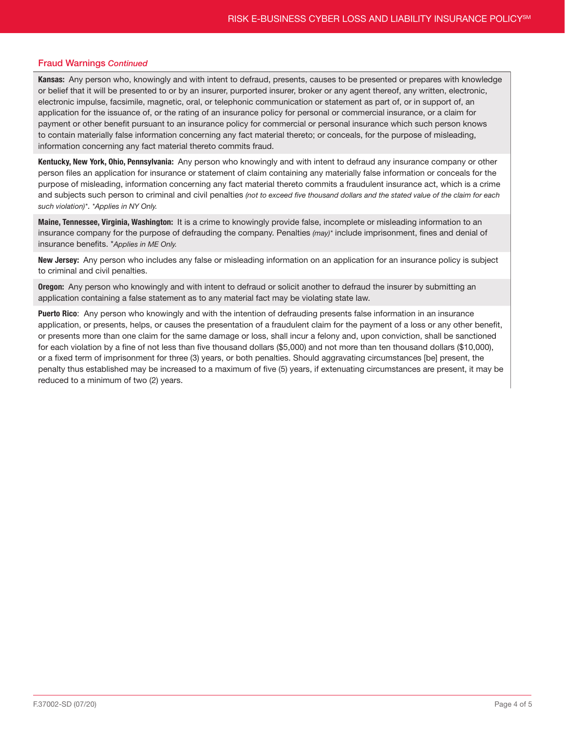### Fraud Warnings *Continued*

Kansas: Any person who, knowingly and with intent to defraud, presents, causes to be presented or prepares with knowledge or belief that it will be presented to or by an insurer, purported insurer, broker or any agent thereof, any written, electronic, electronic impulse, facsimile, magnetic, oral, or telephonic communication or statement as part of, or in support of, an application for the issuance of, or the rating of an insurance policy for personal or commercial insurance, or a claim for payment or other benefit pursuant to an insurance policy for commercial or personal insurance which such person knows to contain materially false information concerning any fact material thereto; or conceals, for the purpose of misleading, information concerning any fact material thereto commits fraud.

Kentucky, New York, Ohio, Pennsylvania: Any person who knowingly and with intent to defraud any insurance company or other person files an application for insurance or statement of claim containing any materially false information or conceals for the purpose of misleading, information concerning any fact material thereto commits a fraudulent insurance act, which is a crime and subjects such person to criminal and civil penalties *(not to exceed five thousand dollars and the stated value of the claim for each such violation)\**. *\*Applies in NY Only.*

Maine, Tennessee, Virginia, Washington: It is a crime to knowingly provide false, incomplete or misleading information to an insurance company for the purpose of defrauding the company. Penalties *(may)\** include imprisonment, fines and denial of insurance benefits. \**Applies in ME Only.*

New Jersey: Any person who includes any false or misleading information on an application for an insurance policy is subject to criminal and civil penalties.

**Oregon:** Any person who knowingly and with intent to defraud or solicit another to defraud the insurer by submitting an application containing a false statement as to any material fact may be violating state law.

Puerto Rico: Any person who knowingly and with the intention of defrauding presents false information in an insurance application, or presents, helps, or causes the presentation of a fraudulent claim for the payment of a loss or any other benefit, or presents more than one claim for the same damage or loss, shall incur a felony and, upon conviction, shall be sanctioned for each violation by a fine of not less than five thousand dollars (\$5,000) and not more than ten thousand dollars (\$10,000), or a fixed term of imprisonment for three (3) years, or both penalties. Should aggravating circumstances [be] present, the penalty thus established may be increased to a maximum of five (5) years, if extenuating circumstances are present, it may be reduced to a minimum of two (2) years.